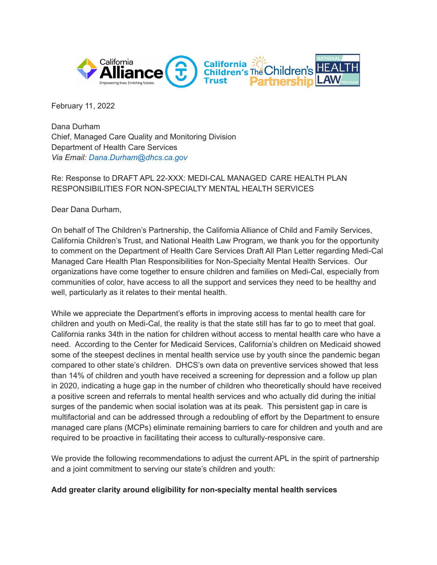

February 11, 2022

Dana Durham Chief, Managed Care Quality and Monitoring Division Department of Health Care Services *Via Email: Dana.Durham@dhcs.ca.gov*

### Re: Response to DRAFT APL 22-XXX: MEDI-CAL MANAGED CARE HEALTH PLAN RESPONSIBILITIES FOR NON-SPECIALTY MENTAL HEALTH SERVICES

Dear Dana Durham,

On behalf of The Children's Partnership, the California Alliance of Child and Family Services, California Children's Trust, and National Health Law Program, we thank you for the opportunity to comment on the Department of Health Care Services Draft All Plan Letter regarding Medi-Cal Managed Care Health Plan Responsibilities for Non-Specialty Mental Health Services. Our organizations have come together to ensure children and families on Medi-Cal, especially from communities of color, have access to all the support and services they need to be healthy and well, particularly as it relates to their mental health.

While we appreciate the Department's efforts in improving access to mental health care for children and youth on Medi-Cal, the reality is that the state still has far to go to meet that goal. California ranks 34th in the nation for children without access to mental health care who have a need. According to the Center for Medicaid Services, California's children on Medicaid showed some of the steepest declines in mental health service use by youth since the pandemic began compared to other state's children. DHCS's own data on preventive services showed that less than 14% of children and youth have received a screening for depression and a follow up plan in 2020, indicating a huge gap in the number of children who theoretically should have received a positive screen and referrals to mental health services and who actually did during the initial surges of the pandemic when social isolation was at its peak. This persistent gap in care is multifactorial and can be addressed through a redoubling of effort by the Department to ensure managed care plans (MCPs) eliminate remaining barriers to care for children and youth and are required to be proactive in facilitating their access to culturally-responsive care.

We provide the following recommendations to adjust the current APL in the spirit of partnership and a joint commitment to serving our state's children and youth:

#### **Add greater clarity around eligibility for non-specialty mental health services**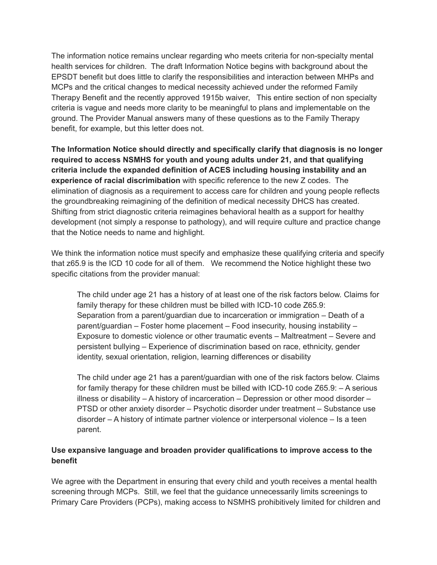The information notice remains unclear regarding who meets criteria for non-specialty mental health services for children. The draft Information Notice begins with background about the EPSDT benefit but does little to clarify the responsibilities and interaction between MHPs and MCPs and the critical changes to medical necessity achieved under the reformed Family Therapy Benefit and the recently approved 1915b waiver, This entire section of non specialty criteria is vague and needs more clarity to be meaningful to plans and implementable on the ground. The Provider Manual answers many of these questions as to the Family Therapy benefit, for example, but this letter does not.

**The Information Notice should directly and specifically clarify that diagnosis is no longer required to access NSMHS for youth and young adults under 21, and that qualifying criteria include the expanded definition of ACES including housing instability and an experience of racial discrimibation** with specific reference to the new Z codes. The elimination of diagnosis as a requirement to access care for children and young people reflects the groundbreaking reimagining of the definition of medical necessity DHCS has created. Shifting from strict diagnostic criteria reimagines behavioral health as a support for healthy development (not simply a response to pathology), and will require culture and practice change that the Notice needs to name and highlight.

We think the information notice must specify and emphasize these qualifying criteria and specify that z65.9 is the ICD 10 code for all of them. We recommend the Notice highlight these two specific citations from the provider manual:

The child under age 21 has a history of at least one of the risk factors below. Claims for family therapy for these children must be billed with ICD-10 code Z65.9: Separation from a parent/guardian due to incarceration or immigration – Death of a parent/guardian – Foster home placement – Food insecurity, housing instability – Exposure to domestic violence or other traumatic events – Maltreatment – Severe and persistent bullying – Experience of discrimination based on race, ethnicity, gender identity, sexual orientation, religion, learning differences or disability

The child under age 21 has a parent/guardian with one of the risk factors below. Claims for family therapy for these children must be billed with ICD-10 code Z65.9: – A serious illness or disability – A history of incarceration – Depression or other mood disorder – PTSD or other anxiety disorder – Psychotic disorder under treatment – Substance use disorder – A history of intimate partner violence or interpersonal violence – Is a teen parent.

## **Use expansive language and broaden provider qualifications to improve access to the benefit**

We agree with the Department in ensuring that every child and youth receives a mental health screening through MCPs. Still, we feel that the guidance unnecessarily limits screenings to Primary Care Providers (PCPs), making access to NSMHS prohibitively limited for children and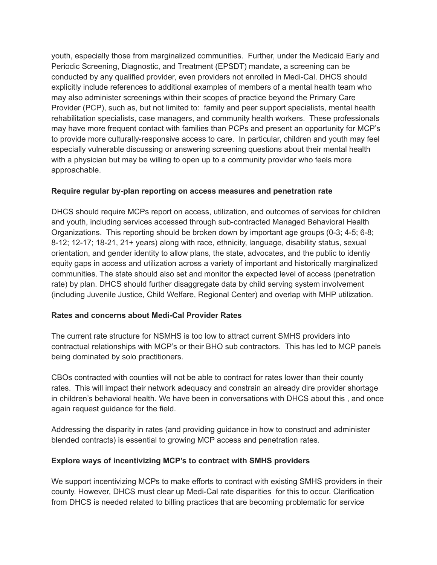youth, especially those from marginalized communities. Further, under the Medicaid Early and Periodic Screening, Diagnostic, and Treatment (EPSDT) mandate, a screening can be conducted by any qualified provider, even providers not enrolled in Medi-Cal. DHCS should explicitly include references to additional examples of members of a mental health team who may also administer screenings within their scopes of practice beyond the Primary Care Provider (PCP), such as, but not limited to: family and peer support specialists, mental health rehabilitation specialists, case managers, and community health workers. These professionals may have more frequent contact with families than PCPs and present an opportunity for MCP's to provide more culturally-responsive access to care. In particular, children and youth may feel especially vulnerable discussing or answering screening questions about their mental health with a physician but may be willing to open up to a community provider who feels more approachable.

### **Require regular by-plan reporting on access measures and penetration rate**

DHCS should require MCPs report on access, utilization, and outcomes of services for children and youth, including services accessed through sub-contracted Managed Behavioral Health Organizations. This reporting should be broken down by important age groups (0-3; 4-5; 6-8; 8-12; 12-17; 18-21, 21+ years) along with race, ethnicity, language, disability status, sexual orientation, and gender identity to allow plans, the state, advocates, and the public to identiy equity gaps in access and utilization across a variety of important and historically marginalized communities. The state should also set and monitor the expected level of access (penetration rate) by plan. DHCS should further disaggregate data by child serving system involvement (including Juvenile Justice, Child Welfare, Regional Center) and overlap with MHP utilization.

#### **Rates and concerns about Medi-Cal Provider Rates**

The current rate structure for NSMHS is too low to attract current SMHS providers into contractual relationships with MCP's or their BHO sub contractors. This has led to MCP panels being dominated by solo practitioners.

CBOs contracted with counties will not be able to contract for rates lower than their county rates. This will impact their network adequacy and constrain an already dire provider shortage in children's behavioral health. We have been in conversations with DHCS about this , and once again request guidance for the field.

Addressing the disparity in rates (and providing guidance in how to construct and administer blended contracts) is essential to growing MCP access and penetration rates.

#### **Explore ways of incentivizing MCP's to contract with SMHS providers**

We support incentivizing MCPs to make efforts to contract with existing SMHS providers in their county. However, DHCS must clear up Medi-Cal rate disparities for this to occur. Clarification from DHCS is needed related to billing practices that are becoming problematic for service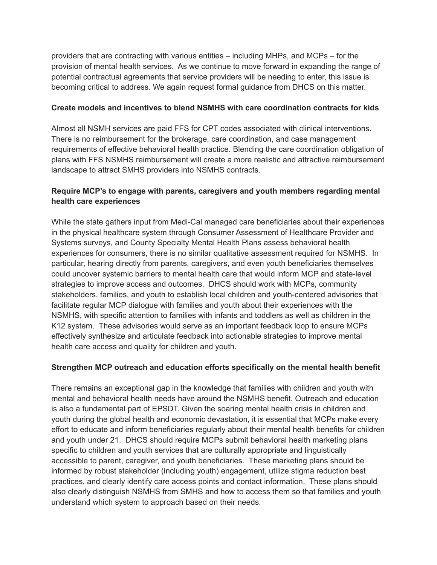providers that are contracting with various entities – including MHPs, and MCPs – for the provision of mental health services. As we continue to move forward in expanding the range of potential contractual agreements that service providers will be needing to enter, this issue is becoming critical to address. We again request formal guidance from DHCS on this matter.

### **Create models and incentives to blend NSMHS with care coordination contracts for kids**

Almost all NSMH services are paid FFS for CPT codes associated with clinical interventions. There is no reimbursement for the brokerage, care coordination, and case management requirements of effective behavioral health practice. Blending the care coordination obligation of plans with FFS NSMHS reimbursement will create a more realistic and attractive reimbursement landscape to attract SMHS providers into NSMHS contracts.

## **Require MCP's to engage with parents, caregivers and youth members regarding mental health care experiences**

While the state gathers input from Medi-Cal managed care beneficiaries about their experiences in the physical healthcare system through Consumer Assessment of Healthcare Provider and Systems surveys, and County Specialty Mental Health Plans assess behavioral health experiences for consumers, there is no similar qualitative assessment required for NSMHS. In particular, hearing directly from parents, caregivers, and even youth beneficiaries themselves could uncover systemic barriers to mental health care that would inform MCP and state-level strategies to improve access and outcomes. DHCS should work with MCPs, community stakeholders, families, and youth to establish local children and youth-centered advisories that facilitate regular MCP dialogue with families and youth about their experiences with the NSMHS, with specific attention to families with infants and toddlers as well as children in the K12 system. These advisories would serve as an important feedback loop to ensure MCPs effectively synthesize and articulate feedback into actionable strategies to improve mental health care access and quality for children and youth.

## **Strengthen MCP outreach and education efforts specifically on the mental health benefit**

There remains an exceptional gap in the knowledge that families with children and youth with mental and behavioral health needs have around the NSMHS benefit. Outreach and education is also a fundamental part of EPSDT. Given the soaring mental health crisis in children and youth during the global health and economic devastation, it is essential that MCPs make every effort to educate and inform beneficiaries regularly about their mental health benefits for children and youth under 21. DHCS should require MCPs submit behavioral health marketing plans specific to children and youth services that are culturally appropriate and linguistically accessible to parent, caregiver, and youth beneficiaries. These marketing plans should be informed by robust stakeholder (including youth) engagement, utilize stigma reduction best practices, and clearly identify care access points and contact information. These plans should also clearly distinguish NSMHS from SMHS and how to access them so that families and youth understand which system to approach based on their needs.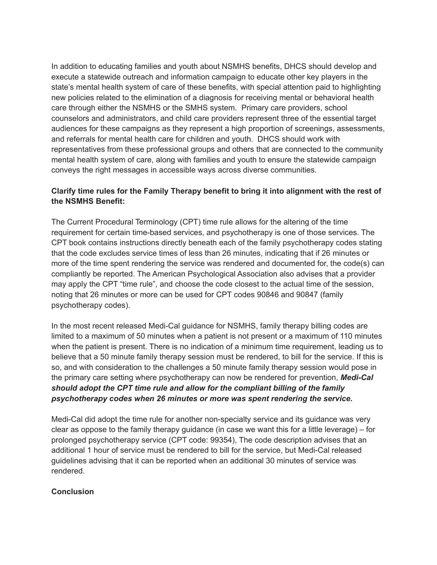In addition to educating families and youth about NSMHS benefits, DHCS should develop and execute a statewide outreach and information campaign to educate other key players in the state's mental health system of care of these benefits, with special attention paid to highlighting new policies related to the elimination of a diagnosis for receiving mental or behavioral health care through either the NSMHS or the SMHS system. Primary care providers, school counselors and administrators, and child care providers represent three of the essential target audiences for these campaigns as they represent a high proportion of screenings, assessments, and referrals for mental health care for children and youth. DHCS should work with representatives from these professional groups and others that are connected to the community mental health system of care, along with families and youth to ensure the statewide campaign conveys the right messages in accessible ways across diverse communities.

# **Clarify time rules for the Family Therapy benefit to bring it into alignment with the rest of the NSMHS Benefit:**

The Current Procedural Terminology (CPT) time rule allows for the altering of the time requirement for certain time-based services, and psychotherapy is one of those services. The CPT book contains instructions directly beneath each of the family psychotherapy codes stating that the code excludes service times of less than 26 minutes, indicating that if 26 minutes or more of the time spent rendering the service was rendered and documented for, the code(s) can compliantly be reported. The American Psychological Association also advises that a provider may apply the CPT "time rule", and choose the code closest to the actual time of the session, noting that 26 minutes or more can be used for CPT codes 90846 and 90847 (family psychotherapy codes).

In the most recent released Medi-Cal guidance for NSMHS, family therapy billing codes are limited to a maximum of 50 minutes when a patient is not present or a maximum of 110 minutes when the patient is present. There is no indication of a minimum time requirement, leading us to believe that a 50 minute family therapy session must be rendered, to bill for the service. If this is so, and with consideration to the challenges a 50 minute family therapy session would pose in the primary care setting where psychotherapy can now be rendered for prevention, *Medi-Cal should adopt the CPT time rule and allow for the compliant billing of the family psychotherapy codes when 26 minutes or more was spent rendering the service.*

Medi-Cal did adopt the time rule for another non-specialty service and its guidance was very clear as oppose to the family therapy guidance (in case we want this for a little leverage) – for prolonged psychotherapy service (CPT code: 99354), The code description advises that an additional 1 hour of service must be rendered to bill for the service, but Medi-Cal released guidelines advising that it can be reported when an additional 30 minutes of service was rendered.

#### **Conclusion**